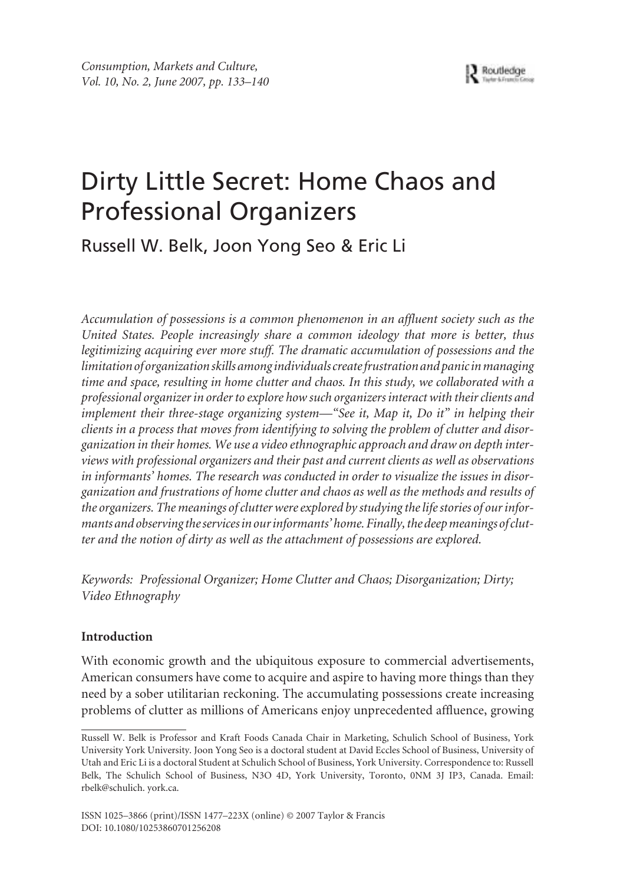# Dirty Little Secret: Home Chaos and Professional Organizers

Russell W. Belk, Joon Yong Seo & Eric Li

*Accumulation of possessions is a common phenomenon in an affluent society such as the United States. People increasingly share a common ideology that more is better, thus legitimizing acquiring ever more stuff. The dramatic accumulation of possessions and the limitation of organization skills among individuals create frustration and panic in managing time and space, resulting in home clutter and chaos. In this study, we collaborated with a professional organizer in order to explore how such organizers interact with their clients and implement their three-stage organizing system—"See it, Map it, Do it" in helping their clients in a process that moves from identifying to solving the problem of clutter and disorganization in their homes. We use a video ethnographic approach and draw on depth interviews with professional organizers and their past and current clients as well as observations in informants' homes. The research was conducted in order to visualize the issues in disorganization and frustrations of home clutter and chaos as well as the methods and results of the organizers. The meanings of clutter were explored by studying the life stories of our informants and observing the services in our informants' home. Finally, the deep meanings of clutter and the notion of dirty as well as the attachment of possessions are explored.*

*Keywords: Professional Organizer; Home Clutter and Chaos; Disorganization; Dirty; Video Ethnography*

# **Introduction**

With economic growth and the ubiquitous exposure to commercial advertisements, American consumers have come to acquire and aspire to having more things than they need by a sober utilitarian reckoning. The accumulating possessions create increasing problems of clutter as millions of Americans enjoy unprecedented affluence, growing

Russell W. Belk is Professor and Kraft Foods Canada Chair in Marketing, Schulich School of Business, York University York University. Joon Yong Seo is a doctoral student at David Eccles School of Business, University of Utah and Eric Li is a doctoral Student at Schulich School of Business, York University. Correspondence to: Russell Belk, The Schulich School of Business, N3O 4D, York University, Toronto, 0NM 3J IP3, Canada. Email: rbelk@schulich. york.ca.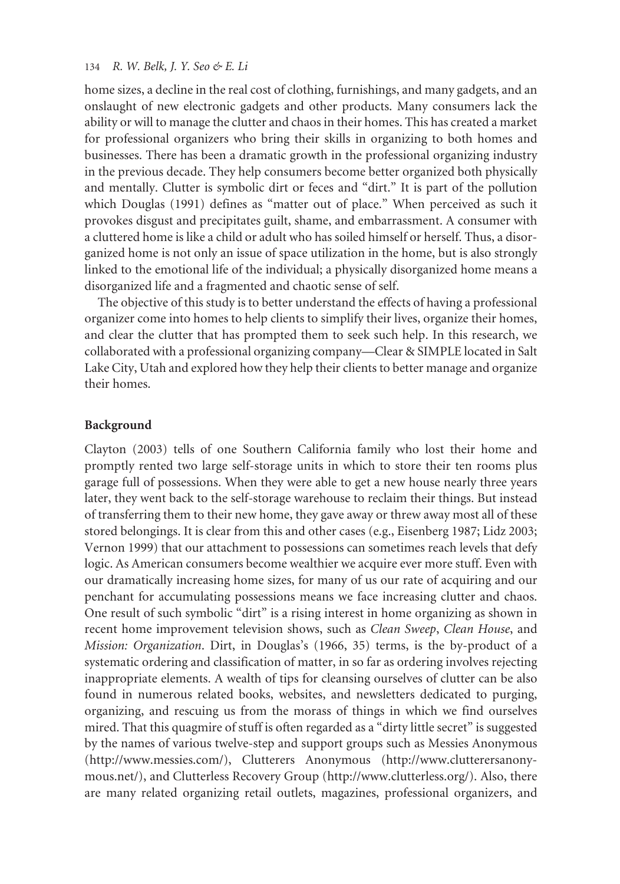#### 134 *R. W. Belk, J. Y. Seo & E. Li*

home sizes, a decline in the real cost of clothing, furnishings, and many gadgets, and an onslaught of new electronic gadgets and other products. Many consumers lack the ability or will to manage the clutter and chaos in their homes. This has created a market for professional organizers who bring their skills in organizing to both homes and businesses. There has been a dramatic growth in the professional organizing industry in the previous decade. They help consumers become better organized both physically and mentally. Clutter is symbolic dirt or feces and "dirt." It is part of the pollution which Douglas (1991) defines as "matter out of place." When perceived as such it provokes disgust and precipitates guilt, shame, and embarrassment. A consumer with a cluttered home is like a child or adult who has soiled himself or herself. Thus, a disorganized home is not only an issue of space utilization in the home, but is also strongly linked to the emotional life of the individual; a physically disorganized home means a disorganized life and a fragmented and chaotic sense of self.

The objective of this study is to better understand the effects of having a professional organizer come into homes to help clients to simplify their lives, organize their homes, and clear the clutter that has prompted them to seek such help. In this research, we collaborated with a professional organizing company—Clear & SIMPLE located in Salt Lake City, Utah and explored how they help their clients to better manage and organize their homes.

#### **Background**

Clayton (2003) tells of one Southern California family who lost their home and promptly rented two large self-storage units in which to store their ten rooms plus garage full of possessions. When they were able to get a new house nearly three years later, they went back to the self-storage warehouse to reclaim their things. But instead of transferring them to their new home, they gave away or threw away most all of these stored belongings. It is clear from this and other cases (e.g., Eisenberg 1987; Lidz 2003; Vernon 1999) that our attachment to possessions can sometimes reach levels that defy logic. As American consumers become wealthier we acquire ever more stuff. Even with our dramatically increasing home sizes, for many of us our rate of acquiring and our penchant for accumulating possessions means we face increasing clutter and chaos. One result of such symbolic "dirt" is a rising interest in home organizing as shown in recent home improvement television shows, such as *Clean Sweep*, *Clean House*, and *Mission: Organization*. Dirt, in Douglas's (1966, 35) terms, is the by-product of a systematic ordering and classification of matter, in so far as ordering involves rejecting inappropriate elements. A wealth of tips for cleansing ourselves of clutter can be also found in numerous related books, websites, and newsletters dedicated to purging, organizing, and rescuing us from the morass of things in which we find ourselves mired. That this quagmire of stuff is often regarded as a "dirty little secret" is suggested by the names of various twelve-step and support groups such as Messies Anonymous (http://www.messies.com/), Clutterers Anonymous (http://www.clutterersanonymous.net/), and Clutterless Recovery Group (http://www.clutterless.org/). Also, there are many related organizing retail outlets, magazines, professional organizers, and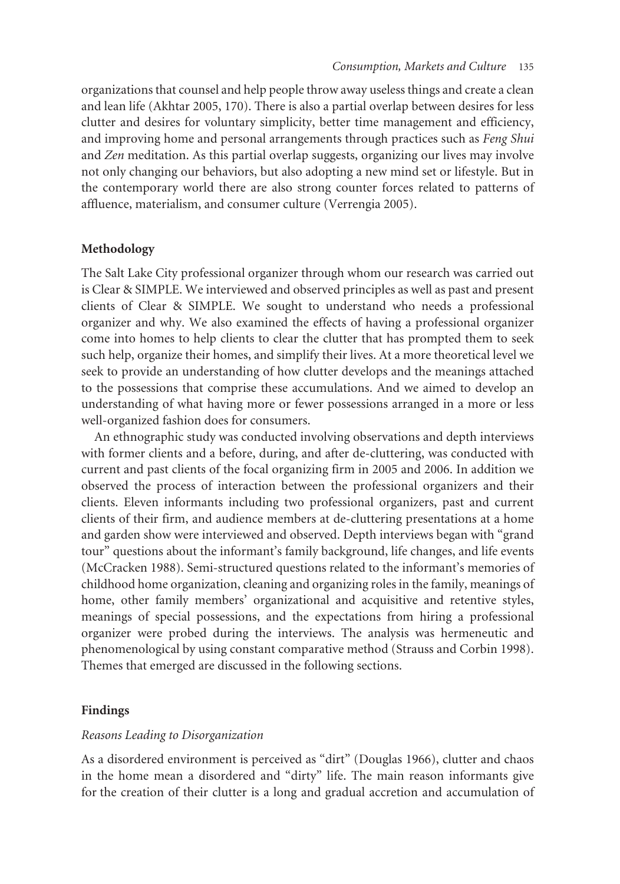organizations that counsel and help people throw away useless things and create a clean and lean life (Akhtar 2005, 170). There is also a partial overlap between desires for less clutter and desires for voluntary simplicity, better time management and efficiency, and improving home and personal arrangements through practices such as *Feng Shui* and *Zen* meditation. As this partial overlap suggests, organizing our lives may involve not only changing our behaviors, but also adopting a new mind set or lifestyle. But in the contemporary world there are also strong counter forces related to patterns of affluence, materialism, and consumer culture (Verrengia 2005).

#### **Methodology**

The Salt Lake City professional organizer through whom our research was carried out is Clear & SIMPLE. We interviewed and observed principles as well as past and present clients of Clear & SIMPLE. We sought to understand who needs a professional organizer and why. We also examined the effects of having a professional organizer come into homes to help clients to clear the clutter that has prompted them to seek such help, organize their homes, and simplify their lives. At a more theoretical level we seek to provide an understanding of how clutter develops and the meanings attached to the possessions that comprise these accumulations. And we aimed to develop an understanding of what having more or fewer possessions arranged in a more or less well-organized fashion does for consumers.

An ethnographic study was conducted involving observations and depth interviews with former clients and a before, during, and after de-cluttering, was conducted with current and past clients of the focal organizing firm in 2005 and 2006. In addition we observed the process of interaction between the professional organizers and their clients. Eleven informants including two professional organizers, past and current clients of their firm, and audience members at de-cluttering presentations at a home and garden show were interviewed and observed. Depth interviews began with "grand tour" questions about the informant's family background, life changes, and life events (McCracken 1988). Semi-structured questions related to the informant's memories of childhood home organization, cleaning and organizing roles in the family, meanings of home, other family members' organizational and acquisitive and retentive styles, meanings of special possessions, and the expectations from hiring a professional organizer were probed during the interviews. The analysis was hermeneutic and phenomenological by using constant comparative method (Strauss and Corbin 1998). Themes that emerged are discussed in the following sections.

#### **Findings**

# *Reasons Leading to Disorganization*

As a disordered environment is perceived as "dirt" (Douglas 1966), clutter and chaos in the home mean a disordered and "dirty" life. The main reason informants give for the creation of their clutter is a long and gradual accretion and accumulation of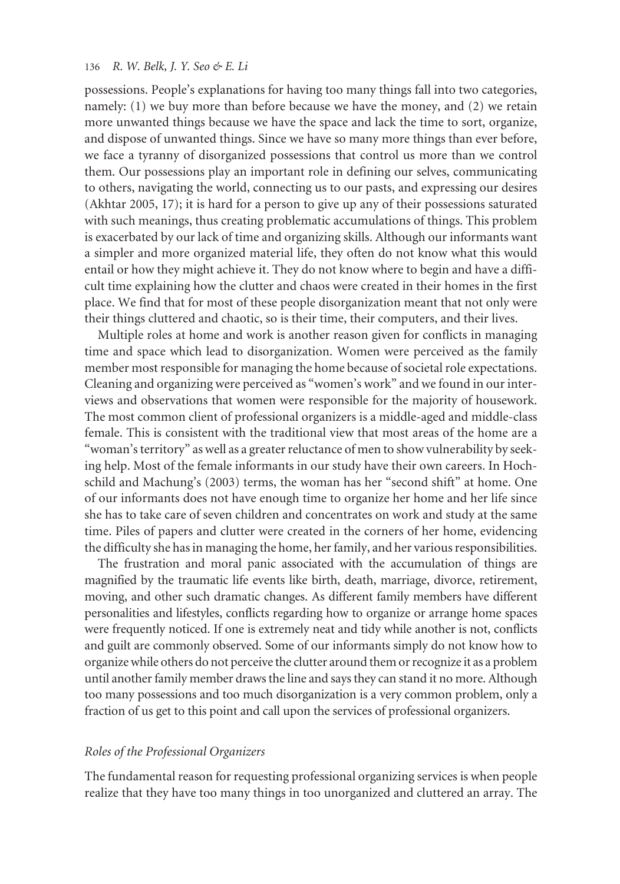#### 136 *R. W. Belk, J. Y. Seo & E. Li*

possessions. People's explanations for having too many things fall into two categories, namely: (1) we buy more than before because we have the money, and (2) we retain more unwanted things because we have the space and lack the time to sort, organize, and dispose of unwanted things. Since we have so many more things than ever before, we face a tyranny of disorganized possessions that control us more than we control them. Our possessions play an important role in defining our selves, communicating to others, navigating the world, connecting us to our pasts, and expressing our desires (Akhtar 2005, 17); it is hard for a person to give up any of their possessions saturated with such meanings, thus creating problematic accumulations of things. This problem is exacerbated by our lack of time and organizing skills. Although our informants want a simpler and more organized material life, they often do not know what this would entail or how they might achieve it. They do not know where to begin and have a difficult time explaining how the clutter and chaos were created in their homes in the first place. We find that for most of these people disorganization meant that not only were their things cluttered and chaotic, so is their time, their computers, and their lives.

Multiple roles at home and work is another reason given for conflicts in managing time and space which lead to disorganization. Women were perceived as the family member most responsible for managing the home because of societal role expectations. Cleaning and organizing were perceived as "women's work" and we found in our interviews and observations that women were responsible for the majority of housework. The most common client of professional organizers is a middle-aged and middle-class female. This is consistent with the traditional view that most areas of the home are a "woman's territory" as well as a greater reluctance of men to show vulnerability by seeking help. Most of the female informants in our study have their own careers. In Hochschild and Machung's (2003) terms, the woman has her "second shift" at home. One of our informants does not have enough time to organize her home and her life since she has to take care of seven children and concentrates on work and study at the same time. Piles of papers and clutter were created in the corners of her home, evidencing the difficulty she has in managing the home, her family, and her various responsibilities.

The frustration and moral panic associated with the accumulation of things are magnified by the traumatic life events like birth, death, marriage, divorce, retirement, moving, and other such dramatic changes. As different family members have different personalities and lifestyles, conflicts regarding how to organize or arrange home spaces were frequently noticed. If one is extremely neat and tidy while another is not, conflicts and guilt are commonly observed. Some of our informants simply do not know how to organize while others do not perceive the clutter around them or recognize it as a problem until another family member draws the line and says they can stand it no more. Although too many possessions and too much disorganization is a very common problem, only a fraction of us get to this point and call upon the services of professional organizers.

## *Roles of the Professional Organizers*

The fundamental reason for requesting professional organizing services is when people realize that they have too many things in too unorganized and cluttered an array. The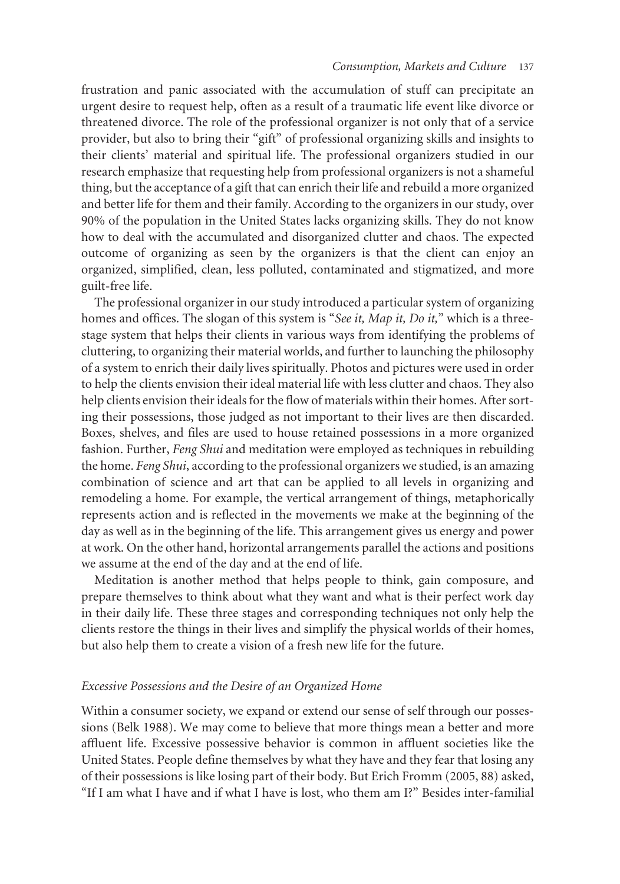#### *Consumption, Markets and Culture* 137

frustration and panic associated with the accumulation of stuff can precipitate an urgent desire to request help, often as a result of a traumatic life event like divorce or threatened divorce. The role of the professional organizer is not only that of a service provider, but also to bring their "gift" of professional organizing skills and insights to their clients' material and spiritual life. The professional organizers studied in our research emphasize that requesting help from professional organizers is not a shameful thing, but the acceptance of a gift that can enrich their life and rebuild a more organized and better life for them and their family. According to the organizers in our study, over 90% of the population in the United States lacks organizing skills. They do not know how to deal with the accumulated and disorganized clutter and chaos. The expected outcome of organizing as seen by the organizers is that the client can enjoy an organized, simplified, clean, less polluted, contaminated and stigmatized, and more guilt-free life.

The professional organizer in our study introduced a particular system of organizing homes and offices. The slogan of this system is "*See it, Map it, Do it,*" which is a threestage system that helps their clients in various ways from identifying the problems of cluttering, to organizing their material worlds, and further to launching the philosophy of a system to enrich their daily lives spiritually. Photos and pictures were used in order to help the clients envision their ideal material life with less clutter and chaos. They also help clients envision their ideals for the flow of materials within their homes. After sorting their possessions, those judged as not important to their lives are then discarded. Boxes, shelves, and files are used to house retained possessions in a more organized fashion. Further, *Feng Shui* and meditation were employed as techniques in rebuilding the home. *Feng Shui*, according to the professional organizers we studied, is an amazing combination of science and art that can be applied to all levels in organizing and remodeling a home. For example, the vertical arrangement of things, metaphorically represents action and is reflected in the movements we make at the beginning of the day as well as in the beginning of the life. This arrangement gives us energy and power at work. On the other hand, horizontal arrangements parallel the actions and positions we assume at the end of the day and at the end of life.

Meditation is another method that helps people to think, gain composure, and prepare themselves to think about what they want and what is their perfect work day in their daily life. These three stages and corresponding techniques not only help the clients restore the things in their lives and simplify the physical worlds of their homes, but also help them to create a vision of a fresh new life for the future.

### *Excessive Possessions and the Desire of an Organized Home*

Within a consumer society, we expand or extend our sense of self through our possessions (Belk 1988). We may come to believe that more things mean a better and more affluent life. Excessive possessive behavior is common in affluent societies like the United States. People define themselves by what they have and they fear that losing any of their possessions is like losing part of their body. But Erich Fromm (2005, 88) asked, "If I am what I have and if what I have is lost, who them am I?" Besides inter-familial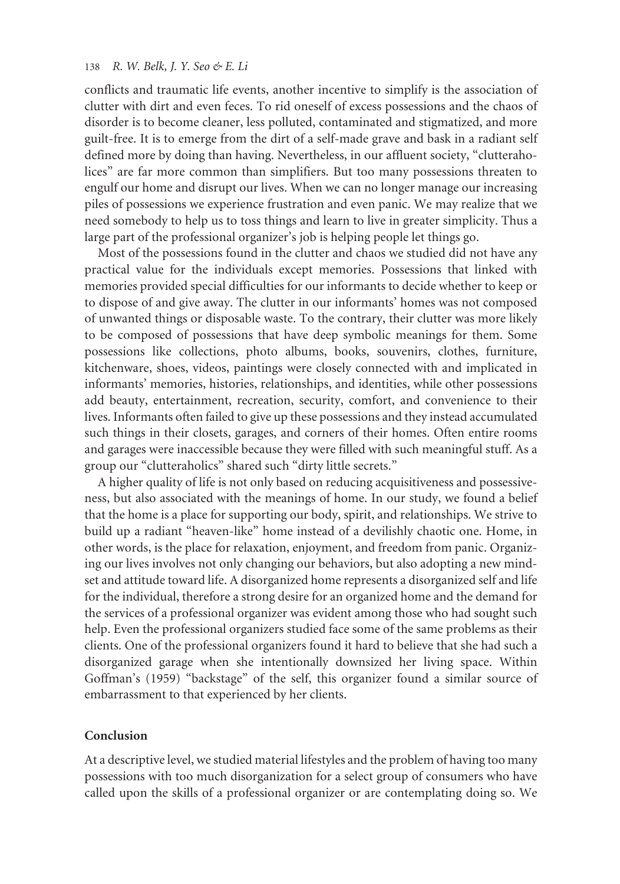#### 138 *R. W. Belk, J. Y. Seo & E. Li*

conflicts and traumatic life events, another incentive to simplify is the association of clutter with dirt and even feces. To rid oneself of excess possessions and the chaos of disorder is to become cleaner, less polluted, contaminated and stigmatized, and more guilt-free. It is to emerge from the dirt of a self-made grave and bask in a radiant self defined more by doing than having. Nevertheless, in our affluent society, "clutteraholices" are far more common than simplifiers. But too many possessions threaten to engulf our home and disrupt our lives. When we can no longer manage our increasing piles of possessions we experience frustration and even panic. We may realize that we need somebody to help us to toss things and learn to live in greater simplicity. Thus a large part of the professional organizer's job is helping people let things go.

Most of the possessions found in the clutter and chaos we studied did not have any practical value for the individuals except memories. Possessions that linked with memories provided special difficulties for our informants to decide whether to keep or to dispose of and give away. The clutter in our informants' homes was not composed of unwanted things or disposable waste. To the contrary, their clutter was more likely to be composed of possessions that have deep symbolic meanings for them. Some possessions like collections, photo albums, books, souvenirs, clothes, furniture, kitchenware, shoes, videos, paintings were closely connected with and implicated in informants' memories, histories, relationships, and identities, while other possessions add beauty, entertainment, recreation, security, comfort, and convenience to their lives. Informants often failed to give up these possessions and they instead accumulated such things in their closets, garages, and corners of their homes. Often entire rooms and garages were inaccessible because they were filled with such meaningful stuff. As a group our "clutteraholics" shared such "dirty little secrets."

A higher quality of life is not only based on reducing acquisitiveness and possessiveness, but also associated with the meanings of home. In our study, we found a belief that the home is a place for supporting our body, spirit, and relationships. We strive to build up a radiant "heaven-like" home instead of a devilishly chaotic one. Home, in other words, is the place for relaxation, enjoyment, and freedom from panic. Organizing our lives involves not only changing our behaviors, but also adopting a new mindset and attitude toward life. A disorganized home represents a disorganized self and life for the individual, therefore a strong desire for an organized home and the demand for the services of a professional organizer was evident among those who had sought such help. Even the professional organizers studied face some of the same problems as their clients. One of the professional organizers found it hard to believe that she had such a disorganized garage when she intentionally downsized her living space. Within Goffman's (1959) "backstage" of the self, this organizer found a similar source of embarrassment to that experienced by her clients.

## **Conclusion**

At a descriptive level, we studied material lifestyles and the problem of having too many possessions with too much disorganization for a select group of consumers who have called upon the skills of a professional organizer or are contemplating doing so. We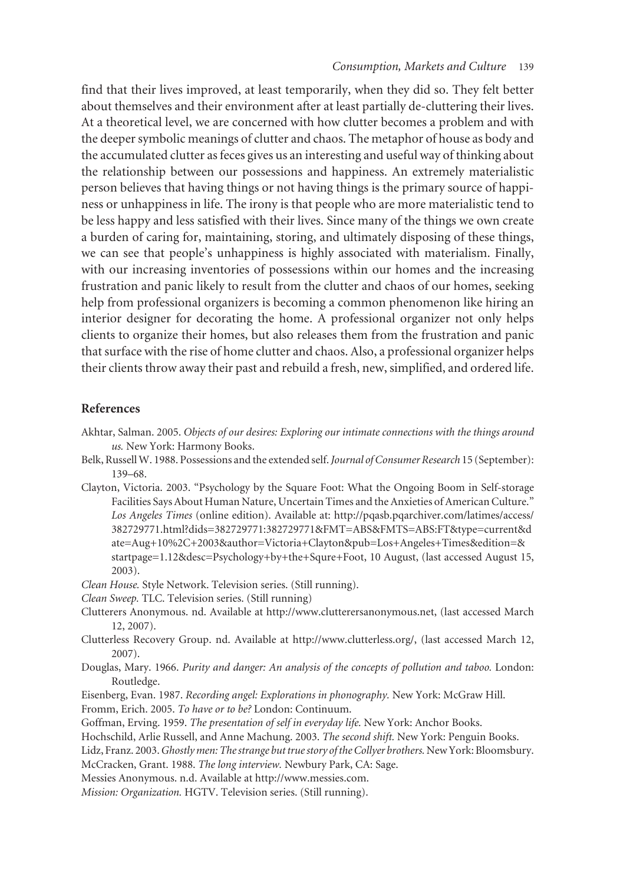find that their lives improved, at least temporarily, when they did so. They felt better about themselves and their environment after at least partially de-cluttering their lives. At a theoretical level, we are concerned with how clutter becomes a problem and with the deeper symbolic meanings of clutter and chaos. The metaphor of house as body and the accumulated clutter as feces gives us an interesting and useful way of thinking about the relationship between our possessions and happiness. An extremely materialistic person believes that having things or not having things is the primary source of happiness or unhappiness in life. The irony is that people who are more materialistic tend to be less happy and less satisfied with their lives. Since many of the things we own create a burden of caring for, maintaining, storing, and ultimately disposing of these things, we can see that people's unhappiness is highly associated with materialism. Finally, with our increasing inventories of possessions within our homes and the increasing frustration and panic likely to result from the clutter and chaos of our homes, seeking help from professional organizers is becoming a common phenomenon like hiring an interior designer for decorating the home. A professional organizer not only helps clients to organize their homes, but also releases them from the frustration and panic that surface with the rise of home clutter and chaos. Also, a professional organizer helps their clients throw away their past and rebuild a fresh, new, simplified, and ordered life.

#### **References**

- Akhtar, Salman. 2005. *Objects of our desires: Exploring our intimate connections with the things around us.* New York: Harmony Books.
- Belk, Russell W. 1988. Possessions and the extended self.*Journal of Consumer Research* 15 (September): 139–68.
- Clayton, Victoria. 2003. "Psychology by the Square Foot: What the Ongoing Boom in Self-storage Facilities Says About Human Nature, Uncertain Times and the Anxieties of American Culture." *Los Angeles Times* (online edition). Available at: http://pqasb.pqarchiver.com/latimes/access/ 382729771.html?dids=382729771:382729771&FMT=ABS&FMTS=ABS:FT&type=current&d ate=Aug+10%2C+2003&author=Victoria+Clayton&pub=Los+Angeles+Times&edition=& startpage=1.12&desc=Psychology+by+the+Squre+Foot, 10 August, (last accessed August 15, 2003).
- *Clean House.* Style Network. Television series. (Still running).
- *Clean Sweep.* TLC. Television series. (Still running)
- Clutterers Anonymous. nd. Available at http://www.clutterersanonymous.net, (last accessed March 12, 2007).
- Clutterless Recovery Group. nd. Available at http://www.clutterless.org/, (last accessed March 12, 2007).
- Douglas, Mary. 1966. *Purity and danger: An analysis of the concepts of pollution and taboo.* London: Routledge.
- Eisenberg, Evan. 1987. *Recording angel: Explorations in phonography.* New York: McGraw Hill.
- Fromm, Erich. 2005. *To have or to be?* London: Continuum.
- Goffman, Erving. 1959. *The presentation of self in everyday life.* New York: Anchor Books.
- Hochschild, Arlie Russell, and Anne Machung. 2003. *The second shift.* New York: Penguin Books.
- Lidz, Franz. 2003.*Ghostly men: The strange but true story of the Collyer brothers.*New York: Bloomsbury. McCracken, Grant. 1988. *The long interview.* Newbury Park, CA: Sage.
- Messies Anonymous. n.d. Available at http://www.messies.com.
- *Mission: Organization.* HGTV. Television series. (Still running).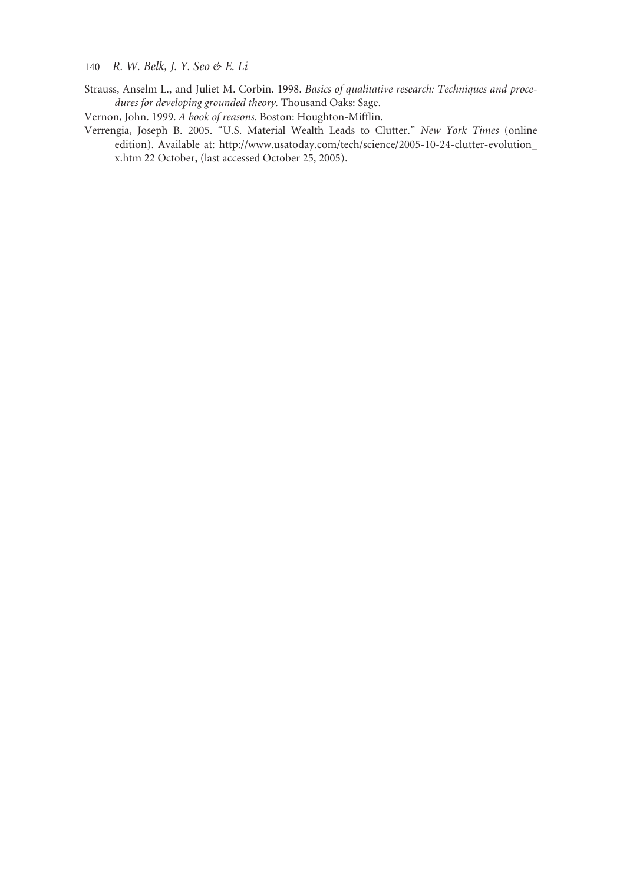- 140 *R. W. Belk, J. Y. Seo & E. Li*
- Strauss, Anselm L., and Juliet M. Corbin. 1998. *Basics of qualitative research: Techniques and procedures for developing grounded theory.* Thousand Oaks: Sage.
- Vernon, John. 1999. *A book of reasons.* Boston: Houghton-Mifflin.
- Verrengia, Joseph B. 2005. "U.S. Material Wealth Leads to Clutter." *New York Times* (online edition). Available at: http://www.usatoday.com/tech/science/2005-10-24-clutter-evolution\_ x.htm 22 October, (last accessed October 25, 2005).